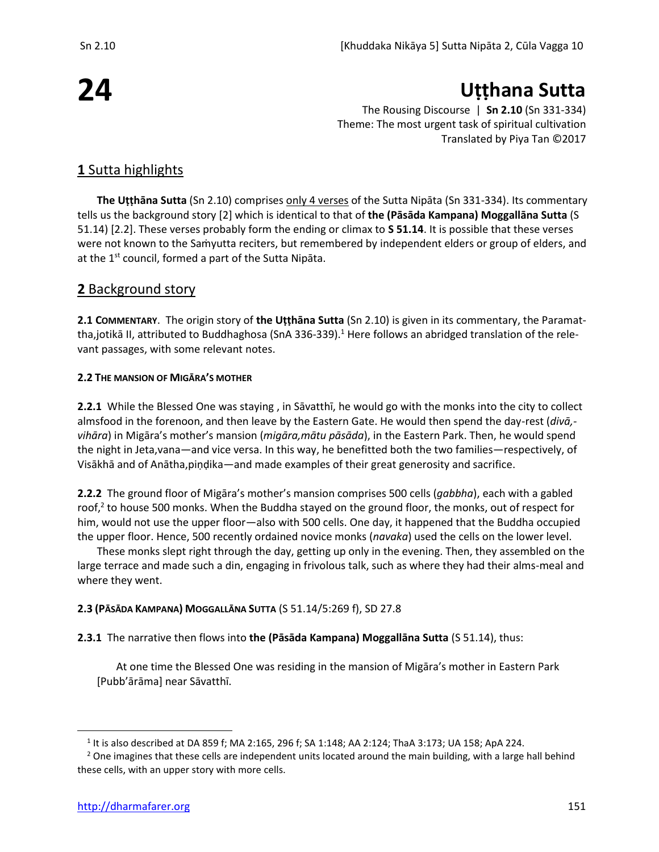# **24**

**Uṭṭhana Sutta**

The Rousing Discourse | **Sn 2.10** (Sn 331-334) Theme: The most urgent task of spiritual cultivation Translated by Piya Tan ©2017

# **1** Sutta highlights

**The Uṭṭhāna Sutta** (Sn 2.10) comprises only 4 verses of the Sutta Nipāta (Sn 331-334). Its commentary tells us the background story [2] which is identical to that of **the (Pāsāda Kampana) Moggallāna Sutta** (S 51.14) [2.2]. These verses probably form the ending or climax to **S 51.14**. It is possible that these verses were not known to the Saṁyutta reciters, but remembered by independent elders or group of elders, and at the  $1^{st}$  council, formed a part of the Sutta Nipāta.

## **2** Background story

**2.1 COMMENTARY**. The origin story of **the Uṭṭhāna Sutta** (Sn 2.10) is given in its commentary, the Paramattha,jotikā II, attributed to Buddhaghosa (SnA 336-339).<sup>1</sup> Here follows an abridged translation of the relevant passages, with some relevant notes.

#### **2.2 THE MANSION OF MIGĀRA'S MOTHER**

**2.2.1** While the Blessed One was staying , in Sāvatthī, he would go with the monks into the city to collect almsfood in the forenoon, and then leave by the Eastern Gate. He would then spend the day-rest (*divā, vihāra*) in Migāra's mother's mansion (*migāra,mātu pāsāda*), in the Eastern Park. Then, he would spend the night in Jeta,vana—and vice versa. In this way, he benefitted both the two families—respectively, of Visākhā and of Anātha,piṇḍika—and made examples of their great generosity and sacrifice.

**2.2.2** The ground floor of Migāra's mother's mansion comprises 500 cells (*gabbha*), each with a gabled roof,<sup>2</sup> to house 500 monks. When the Buddha stayed on the ground floor, the monks, out of respect for him, would not use the upper floor—also with 500 cells. One day, it happened that the Buddha occupied the upper floor. Hence, 500 recently ordained novice monks (*navaka*) used the cells on the lower level.

These monks slept right through the day, getting up only in the evening. Then, they assembled on the large terrace and made such a din, engaging in frivolous talk, such as where they had their alms-meal and where they went.

#### **2.3 (PĀSĀDA KAMPANA) MOGGALLĀNA SUTTA** (S 51.14/5:269 f), SD 27.8

#### **2.3.1** The narrative then flows into **the (Pāsāda Kampana) Moggallāna Sutta** (S 51.14), thus:

At one time the Blessed One was residing in the mansion of Migāra's mother in Eastern Park [Pubb'ārāma] near Sāvatthī.

 $^1$  It is also described at DA 859 f; MA 2:165, 296 f; SA 1:148; AA 2:124; ThaA 3:173; UA 158; ApA 224.

 $2$  One imagines that these cells are independent units located around the main building, with a large hall behind these cells, with an upper story with more cells.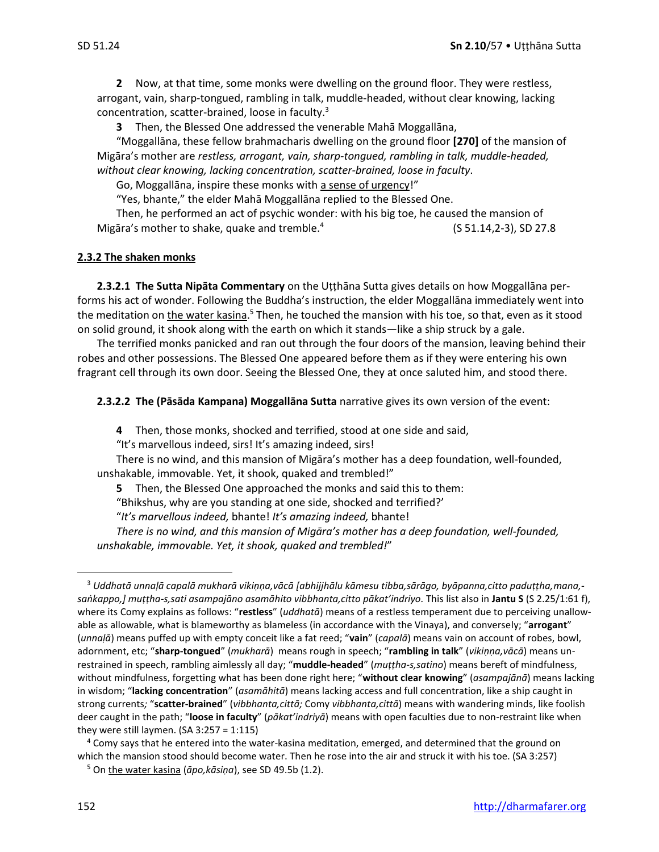**2** Now, at that time, some monks were dwelling on the ground floor. They were restless, arrogant, vain, sharp-tongued, rambling in talk, muddle-headed, without clear knowing, lacking concentration, scatter-brained, loose in faculty.<sup>3</sup>

**3** Then, the Blessed One addressed the venerable Mahā Moggallāna,

"Moggallāna, these fellow brahmacharis dwelling on the ground floor **[270]** of the mansion of Migāra's mother are *restless, arrogant, vain, sharp-tongued, rambling in talk, muddle-headed, without clear knowing, lacking concentration, scatter-brained, loose in faculty*.

Go, Moggallāna, inspire these monks with a sense of urgency!"

"Yes, bhante," the elder Mahā Moggallāna replied to the Blessed One.

Then, he performed an act of psychic wonder: with his big toe, he caused the mansion of Migāra's mother to shake, quake and tremble.<sup>4</sup> (S 51.14,2-3), SD 27.8

#### **2.3.2 The shaken monks**

**2.3.2.1 The Sutta Nipāta Commentary** on the Utthāna Sutta gives details on how Moggallāna performs his act of wonder. Following the Buddha's instruction, the elder Moggallāna immediately went into the meditation on <u>the water kasina.<sup>5</sup> Then, he touched the mansion with his toe, so that, even as it stood</u> on solid ground, it shook along with the earth on which it stands—like a ship struck by a gale.

The terrified monks panicked and ran out through the four doors of the mansion, leaving behind their robes and other possessions. The Blessed One appeared before them as if they were entering his own fragrant cell through its own door. Seeing the Blessed One, they at once saluted him, and stood there.

**2.3.2.2 The (Pāsāda Kampana) Moggallāna Sutta** narrative gives its own version of the event:

**4** Then, those monks, shocked and terrified, stood at one side and said,

"It's marvellous indeed, sirs! It's amazing indeed, sirs!

There is no wind, and this mansion of Migāra's mother has a deep foundation, well-founded, unshakable, immovable. Yet, it shook, quaked and trembled!"

**5** Then, the Blessed One approached the monks and said this to them:

"Bhikshus, why are you standing at one side, shocked and terrified?'

"*It's marvellous indeed,* bhante! *It's amazing indeed,* bhante!

*There is no wind, and this mansion of Migāra's mother has a deep foundation, well-founded, unshakable, immovable. Yet, it shook, quaked and trembled!*"

<sup>3</sup> *Uddhatā unnaḷā capalā mukharā vikiṇṇa,vācā [abhijjhālu kāmesu tibba,sārāgo, byāpanna,citto paduṭṭha,mana, saṅkappo,] muṭṭha-s,sati asampajāno asamāhito vibbhanta,citto pākat'indriyo.* This list also in **Jantu S** (S 2.25/1:61 f), where its Comy explains as follows: "**restless**" (*uddhatā*) means of a restless temperament due to perceiving unallowable as allowable, what is blameworthy as blameless (in accordance with the Vinaya), and conversely; "**arrogant**" (*unnaḷā*) means puffed up with empty conceit like a fat reed; "**vain**" (*capalā*) means vain on account of robes, bowl, adornment, etc; "**sharp-tongued**" (*mukharā*) means rough in speech; "**rambling in talk**" (*vikiṇṇa,vācā*) means unrestrained in speech, rambling aimlessly all day; "**muddle-headed**" (*muṭṭha-s,satino*) means bereft of mindfulness, without mindfulness, forgetting what has been done right here; "**without clear knowing**" (*asampajānā*) means lacking in wisdom; "**lacking concentration**" (*asamāhitā*) means lacking access and full concentration, like a ship caught in strong currents*;* "**scatter-brained**" (*vibbhanta,cittā;* Comy *vibbhanta,cittā*) means with wandering minds, like foolish deer caught in the path; "**loose in faculty**" (*pākat'indriyā*) means with open faculties due to non-restraint like when they were still laymen.  $(SA 3:257 = 1:115)$ 

<sup>4</sup> Comy says that he entered into the water-kasina meditation, emerged, and determined that the ground on which the mansion stood should become water. Then he rose into the air and struck it with his toe. (SA 3:257)

<sup>5</sup> On the water kasiṇa (*āpo,kāsiṇa*), see SD 49.5b (1.2).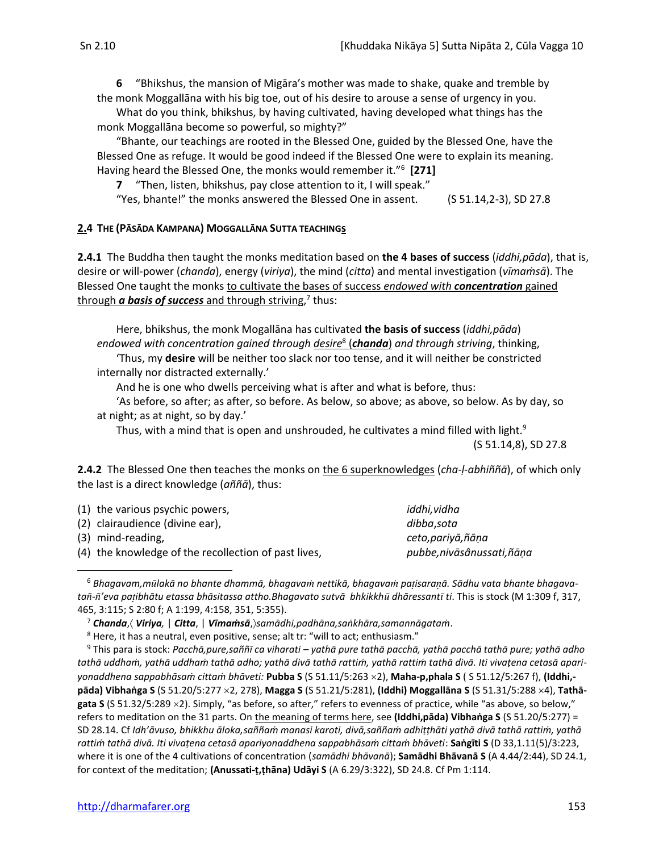What do you think, bhikshus, by having cultivated, having developed what things has the monk Moggallāna become so powerful, so mighty?"

"Bhante, our teachings are rooted in the Blessed One, guided by the Blessed One, have the Blessed One as refuge. It would be good indeed if the Blessed One were to explain its meaning. Having heard the Blessed One, the monks would remember it."<sup>6</sup> **[271]**

**7** "Then, listen, bhikshus, pay close attention to it, I will speak."

"Yes, bhante!" the monks answered the Blessed One in assent. (S 51.14,2-3), SD 27.8

#### **2.4 THE (PĀSĀDA KAMPANA) MOGGALLĀNA SUTTA TEACHINGs**

**2.4.1** The Buddha then taught the monks meditation based on **the 4 bases of success** (*iddhi,pāda*), that is, desire or will-power (*chanda*), energy (*viriya*), the mind (*citta*) and mental investigation (*vīmaṁsā*). The Blessed One taught the monks to cultivate the bases of success *endowed with concentration* gained through *a basis of success* and through striving, 7 thus:

Here, bhikshus, the monk Mogallāna has cultivated **the basis of success** (*iddhi,pāda*) *endowed with concentration gained through desire*<sup>8</sup> (*chanda*) *and through striving*, thinking,

'Thus, my **desire** will be neither too slack nor too tense, and it will neither be constricted internally nor distracted externally.'

And he is one who dwells perceiving what is after and what is before, thus:

'As before, so after; as after, so before. As below, so above; as above, so below. As by day, so at night; as at night, so by day.'

Thus, with a mind that is open and unshrouded, he cultivates a mind filled with light.<sup>9</sup>

(S 51.14,8), SD 27.8

**2.4.2** The Blessed One then teaches the monks on the 6 superknowledges (*cha-ḷ-abhiññā*), of which only the last is a direct knowledge (*aññā*), thus:

| (1) the various psychic powers,                      | iddhi,vidha                |
|------------------------------------------------------|----------------------------|
| (2) clairaudience (divine ear),                      | dibba.sota                 |
| (3) mind-reading,                                    | ceto,pariyā,ñāṇa           |
| (4) the knowledge of the recollection of past lives, | pubbe, nivāsânussati, ñāna |
|                                                      |                            |

<sup>6</sup> *Bhagavam,mlakā no bhante dhammā, bhagava nettikā, bhagava paisaraā. Sādhu vata bhante bhagavata-'eva paibhātu etassa bhāsitassa attho.Bhagavato sutvā bhkikkh dhāressant ti*. This is stock (M 1:309 f, 317, 465, 3:115; S 2:80 f; A 1:199, 4:158, 351, 5:355).

<sup>7</sup> *Chanda*, *Viriya,* | *Citta*, | *Vīmaṁsā*,*samādhi,padhāna,saṅkhāra,samannāgataṁ*.

<sup>&</sup>lt;sup>8</sup> Here, it has a neutral, even positive, sense; alt tr: "will to act; enthusiasm."

<sup>9</sup> This para is stock: *Pacchā,pure,saññī ca viharati – yathā pure tathā pacchā, yathā pacchā tathā pure; yathā adho tathā uddhaṁ, yathā uddhaṁ tathā adho; yathā divā tathā rattiṁ, yathā rattiṁ tathā divā. Iti vivaṭena cetasā apariyonaddhena sappabhāsaṁ cittaṁ bhāveti:* **Pubba S** (S 51.11/5:263 2), **Maha-p,phala S** ( S 51.12/5:267 f), **(Iddhi, pāda) Vibhaṅga S** (S 51.20/5:277 2, 278), **Magga S** (S 51.21/5:281), **(Iddhi) Moggallāna S** (S 51.31/5:288 4), **Tathāgata S** (S 51.32/5:289 2). Simply, "as before, so after," refers to evenness of practice, while "as above, so below," refers to meditation on the 31 parts. On the meaning of terms here, see **(Iddhi,pāda) Vibhaṅga S** (S 51.20/5:277) = SD 28.14. Cf *Idh'āvuso, bhikkhu āloka,saññaṁ manasi karoti, divā,saññaṁ adhiṭṭhāti yathā divā tathā rattiṁ, yathā rattiṁ tathā divā. Iti vivaṭena cetasā apariyonaddhena sappabhāsaṁ cittaṁ bhāveti*: **Saṅgīti S** (D 33,1.11(5)/3:223, where it is one of the 4 cultivations of concentration (*samādhi bhāvanā*); **Samādhi Bhāvanā S** (A 4.44/2:44), SD 24.1, for context of the meditation; **(Anussati-ṭ,ṭhāna) Udāyi S** (A 6.29/3:322), SD 24.8. Cf Pm 1:114.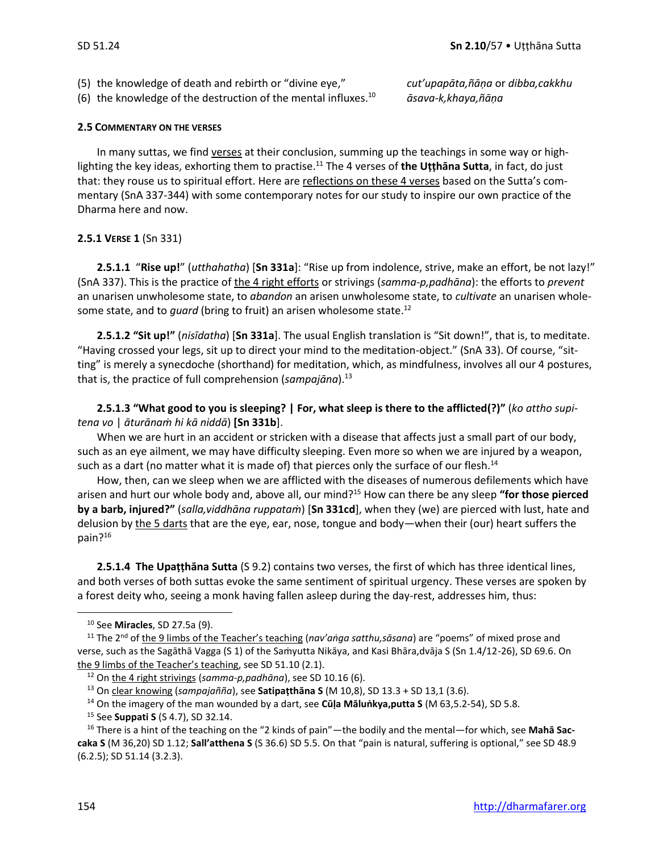- (5) the knowledge of death and rebirth or "divine eye," *cut'upapāta,ñāṇa* or *dibba,cakkhu*
- (6) the knowledge of the destruction of the mental influxes. $^{10}$

<sup>10</sup> *āsava-k,khaya,ñāṇa*

#### **2.5 COMMENTARY ON THE VERSES**

In many suttas, we find verses at their conclusion, summing up the teachings in some way or highlighting the key ideas, exhorting them to practise.<sup>11</sup> The 4 verses of **the Uṭṭhāna Sutta**, in fact, do just that: they rouse us to spiritual effort. Here are reflections on these 4 verses based on the Sutta's commentary (SnA 337-344) with some contemporary notes for our study to inspire our own practice of the Dharma here and now.

#### **2.5.1 VERSE 1** (Sn 331)

**2.5.1.1** "**Rise up!**" (*utthahatha*) [**Sn 331a**]: "Rise up from indolence, strive, make an effort, be not lazy!" (SnA 337). This is the practice of the 4 right efforts or strivings (*samma-p,padhāna*): the efforts to *prevent* an unarisen unwholesome state, to *abandon* an arisen unwholesome state, to *cultivate* an unarisen wholesome state, and to *guard* (bring to fruit) an arisen wholesome state. 12

**2.5.1.2 "Sit up!"** (*nisīdatha*) [**Sn 331a**]. The usual English translation is "Sit down!", that is, to meditate. "Having crossed your legs, sit up to direct your mind to the meditation-object." (SnA 33). Of course, "sitting" is merely a synecdoche (shorthand) for meditation, which, as mindfulness, involves all our 4 postures, that is, the practice of full comprehension (sampajāna).<sup>13</sup>

**2.5.1.3 "What good to you is sleeping? | For, what sleep is there to the afflicted(?)"** (*ko attho supitena vo* | *āturānaṁ hi kā niddā*) **[Sn 331b**].

When we are hurt in an accident or stricken with a disease that affects just a small part of our body, such as an eye ailment, we may have difficulty sleeping. Even more so when we are injured by a weapon, such as a dart (no matter what it is made of) that pierces only the surface of our flesh.<sup>14</sup>

How, then, can we sleep when we are afflicted with the diseases of numerous defilements which have arisen and hurt our whole body and, above all, our mind?<sup>15</sup> How can there be any sleep **"for those pierced by a barb, injured?"** (*salla,viddhāna ruppataṁ*) [**Sn 331cd**], when they (we) are pierced with lust, hate and delusion by the 5 darts that are the eye, ear, nose, tongue and body—when their (our) heart suffers the pain?<sup>16</sup>

**2.5.1.4 The Upaṭṭhāna Sutta** (S 9.2) contains two verses, the first of which has three identical lines, and both verses of both suttas evoke the same sentiment of spiritual urgency. These verses are spoken by a forest deity who, seeing a monk having fallen asleep during the day-rest, addresses him, thus:

<sup>10</sup> See **Miracles**, SD 27.5a (9).

<sup>&</sup>lt;sup>11</sup> The 2<sup>nd</sup> of the 9 limbs of the Teacher's teaching (*nav'aṅga satthu, sāsana*) are "poems" of mixed prose and verse, such as the Sagāthā Vagga (S 1) of the Saṁyutta Nikāya, and Kasi Bhāra,dvāja S (Sn 1.4/12-26), SD 69.6. On the 9 limbs of the Teacher's teaching, see SD 51.10 (2.1).

<sup>12</sup> On the 4 right strivings (*samma-p,padhāna*), see SD 10.16 (6).

<sup>13</sup> On clear knowing (*sampajañña*), see **Satipaṭthāna S** (M 10,8), SD 13.3 + SD 13,1 (3.6).

<sup>14</sup> On the imagery of the man wounded by a dart, see **Cūḷa Māluṅkya,putta S** (M 63,5.2-54), SD 5.8.

<sup>15</sup> See **Suppati S** (S 4.7), SD 32.14.

<sup>16</sup> There is a hint of the teaching on the "2 kinds of pain"—the bodily and the mental—for which, see **Mahā Saccaka S** (M 36,20) SD 1.12; **Sall'atthena S** (S 36.6) SD 5.5. On that "pain is natural, suffering is optional," see SD 48.9 (6.2.5); SD 51.14 (3.2.3).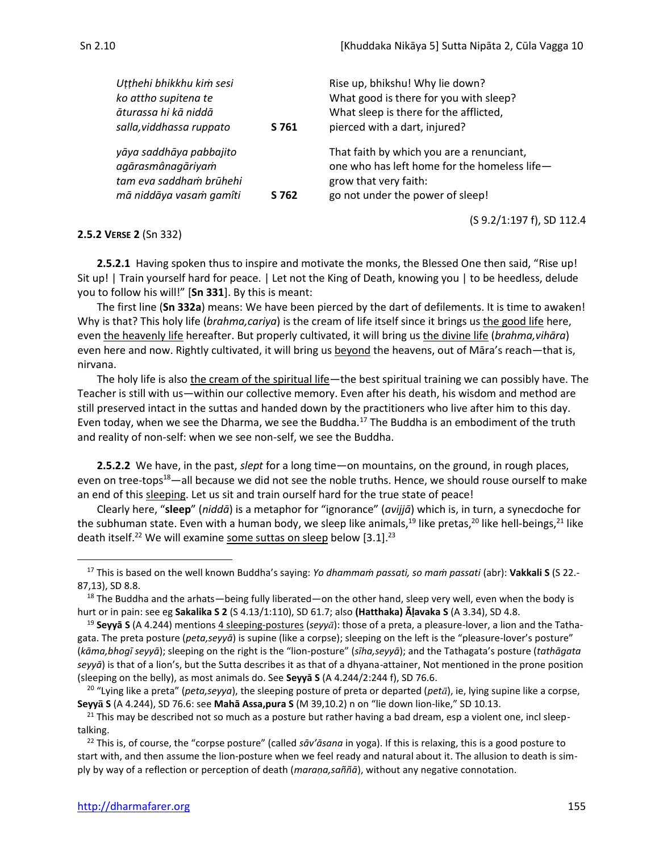(S 9.2/1:197 f), SD 112.4

|  | H. |  |
|--|----|--|
|  |    |  |

| Utthehi bhikkhu kim sesi                                                                           |       | Rise up, bhikshu! Why lie down?                                                                                                                        |
|----------------------------------------------------------------------------------------------------|-------|--------------------------------------------------------------------------------------------------------------------------------------------------------|
| ko attho supitena te                                                                               |       | What good is there for you with sleep?                                                                                                                 |
| āturassa hi kā niddā                                                                               |       | What sleep is there for the afflicted,                                                                                                                 |
| salla, viddhassa ruppato                                                                           | S 761 | pierced with a dart, injured?                                                                                                                          |
| yāya saddhāya pabbajito<br>agārasmânagāriyam<br>tam eva saddham brūhehi<br>mā niddāya vasam gamîti | S 762 | That faith by which you are a renunciant,<br>one who has left home for the homeless life-<br>grow that very faith:<br>go not under the power of sleep! |
|                                                                                                    |       |                                                                                                                                                        |

#### **2.5.2 VERSE 2** (Sn 332)

**2.5.2.1** Having spoken thus to inspire and motivate the monks, the Blessed One then said, "Rise up! Sit up! | Train yourself hard for peace. | Let not the King of Death, knowing you | to be heedless, delude you to follow his will!" [**Sn 331**]. By this is meant:

The first line (**Sn 332a**) means: We have been pierced by the dart of defilements. It is time to awaken! Why is that? This holy life (*brahma,cariya*) is the cream of life itself since it brings us the good life here, even the heavenly life hereafter. But properly cultivated, it will bring us the divine life (*brahma,vihāra*) even here and now. Rightly cultivated, it will bring us beyond the heavens, out of Māra's reach—that is, nirvana.

The holy life is also the cream of the spiritual life—the best spiritual training we can possibly have. The Teacher is still with us—within our collective memory. Even after his death, his wisdom and method are still preserved intact in the suttas and handed down by the practitioners who live after him to this day. Even today, when we see the Dharma, we see the Buddha.<sup>17</sup> The Buddha is an embodiment of the truth and reality of non-self: when we see non-self, we see the Buddha.

**2.5.2.2** We have, in the past, *slept* for a long time—on mountains, on the ground, in rough places, even on tree-tops<sup>18</sup>—all because we did not see the noble truths. Hence, we should rouse ourself to make an end of this sleeping. Let us sit and train ourself hard for the true state of peace!

Clearly here, "**sleep**" (*niddā*) is a metaphor for "ignorance" (*avijjā*) which is, in turn, a synecdoche for the subhuman state. Even with a human body, we sleep like animals,<sup>19</sup> like pretas,<sup>20</sup> like hell-beings,<sup>21</sup> like death itself.<sup>22</sup> We will examine some suttas on sleep below  $[3.1]$ .<sup>23</sup>

<sup>17</sup> This is based on the well known Buddha's saying: *Yo dhammaṁ passati, so maṁ passati* (abr): **Vakkali S** (S 22.- 87,13), SD 8.8.

 $18$  The Buddha and the arhats—being fully liberated—on the other hand, sleep very well, even when the body is hurt or in pain: see eg **Sakalika S 2** (S 4.13/1:110), SD 61.7; also **(Hatthaka) Āḷavaka S** (A 3.34), SD 4.8.

<sup>&</sup>lt;sup>19</sup> **Seyyā S** (A 4.244) mentions 4 sleeping-postures (*seyya*): those of a preta, a pleasure-lover, a lion and the Tathagata. The preta posture (*peta,seyyā*) is supine (like a corpse); sleeping on the left is the "pleasure-lover's posture" (*kāma,bhogī seyyā*); sleeping on the right is the "lion-posture" (*sīha,seyyā*); and the Tathagata's posture (*tathāgata seyyā*) is that of a lion's, but the Sutta describes it as that of a dhyana-attainer, Not mentioned in the prone position (sleeping on the belly), as most animals do. See **Seyyā S** (A 4.244/2:244 f), SD 76.6.

<sup>&</sup>lt;sup>20</sup> "Lying like a preta" (*peta,seyya*), the sleeping posture of preta or departed (*petā*), ie, lying supine like a corpse, **Seyy S** (A 4.244), SD 76.6: see **Mahā Assa,pura S** (M 39,10.2) n on "lie down lion-like," SD 10.13.

 $21$  This may be described not so much as a posture but rather having a bad dream, esp a violent one, incl sleeptalking.

<sup>22</sup> This is, of course, the "corpse posture" (called *sāv'āsana* in yoga). If this is relaxing, this is a good posture to start with, and then assume the lion-posture when we feel ready and natural about it. The allusion to death is simply by way of a reflection or perception of death (*maraṇa,saññā*), without any negative connotation.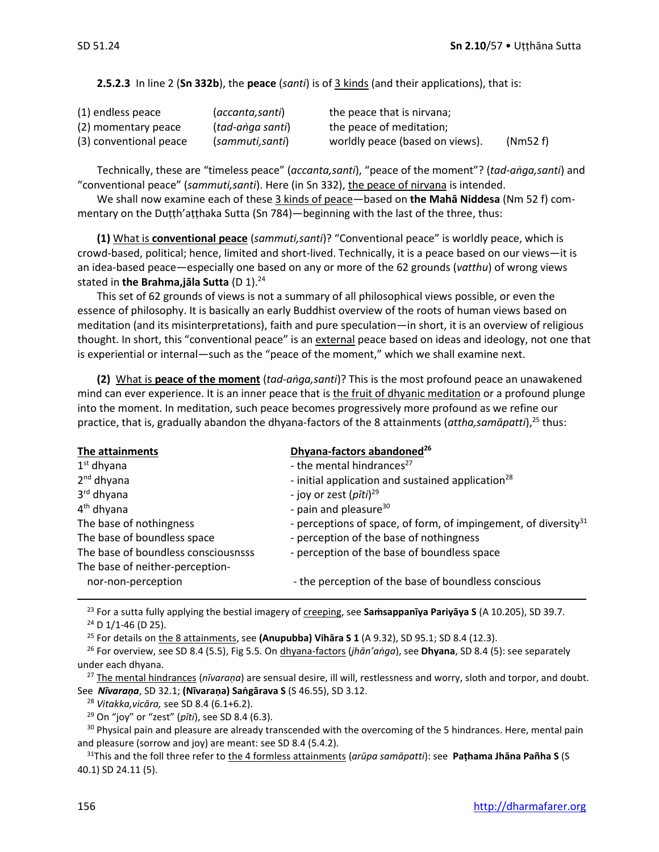#### **2.5.2.3** In line 2 (**Sn 332b**), the **peace** (*santi*) is of 3 kinds (and their applications), that is:

| (1) endless peace      | (accanta,santi)  | the peace that is nirvana;      |         |
|------------------------|------------------|---------------------------------|---------|
| (2) momentary peace    | (tad-anga santi) | the peace of meditation;        |         |
| (3) conventional peace | (sammuti,santi)  | worldly peace (based on views). | (Nm52f) |

Technically, these are "timeless peace" (*accanta,santi*), "peace of the moment"? (*tad-aṅga,santi*) and "conventional peace" (*sammuti,santi*). Here (in Sn 332), the peace of nirvana is intended.

We shall now examine each of these 3 kinds of peace—based on **the Mahā Niddesa** (Nm 52 f) commentary on the Duṭṭh'aṭṭhaka Sutta (Sn 784)—beginning with the last of the three, thus:

**(1)** What is **conventional peace** (*sammuti,santi*)? "Conventional peace" is worldly peace, which is crowd-based, political; hence, limited and short-lived. Technically, it is a peace based on our views—it is an idea-based peace—especially one based on any or more of the 62 grounds (*vatthu*) of wrong views stated in **the Brahma,jāla Sutta** (D 1).<sup>24</sup>

This set of 62 grounds of views is not a summary of all philosophical views possible, or even the essence of philosophy. It is basically an early Buddhist overview of the roots of human views based on meditation (and its misinterpretations), faith and pure speculation—in short, it is an overview of religious thought. In short, this "conventional peace" is an external peace based on ideas and ideology, not one that is experiential or internal—such as the "peace of the moment," which we shall examine next.

**(2)** What is **peace of the moment** (*tad-aṅga,santi*)? This is the most profound peace an unawakened mind can ever experience. It is an inner peace that is the fruit of dhyanic meditation or a profound plunge into the moment. In meditation, such peace becomes progressively more profound as we refine our practice, that is, gradually abandon the dhyana-factors of the 8 attainments (*attha,samāpatti*), <sup>25</sup> thus:

| The attainments                     | Dhyana-factors abandoned <sup>26</sup>                                      |
|-------------------------------------|-----------------------------------------------------------------------------|
| $1st$ dhyana                        | - the mental hindrances <sup>27</sup>                                       |
| $2nd$ dhyana                        | - initial application and sustained application <sup>28</sup>               |
| 3rd dhyana                          | - joy or zest (pīti) <sup>29</sup>                                          |
| 4 <sup>th</sup> dhyana              | - pain and pleasure <sup>30</sup>                                           |
| The base of nothingness             | - perceptions of space, of form, of impingement, of diversity <sup>31</sup> |
| The base of boundless space         | - perception of the base of nothingness                                     |
| The base of boundless consciousnsss | - perception of the base of boundless space                                 |
| The base of neither-perception-     |                                                                             |
| nor-non-perception                  | - the perception of the base of boundless conscious                         |

<sup>23</sup> For a sutta fully applying the bestial imagery of *creeping*, see **Samsappanīya Pariyāya S** (A 10.205), SD 39.7.  $24$  D 1/1-46 (D 25).

<sup>25</sup> For details on the 8 attainments, see **(Anupubba) Vihāra S 1** (A 9.32), SD 95.1; SD 8.4 (12.3).

<sup>26</sup> For overview, see SD 8.4 (5.5), Fig 5.5. On dhyana-factors (*jhān'aṅga*), see **Dhyana**, SD 8.4 (5): see separately under each dhyana.

<sup>27</sup> The mental hindrances (*nīvaraṇa*) are sensual desire, ill will, restlessness and worry, sloth and torpor, and doubt. See *Nīvaraṇa*, SD 32.1; **(Nīvaraṇa) Saṅgārava S** (S 46.55), SD 3.12.

<sup>28</sup> *Vitakka,vicāra,* see SD 8.4 (6.1+6.2).

<sup>29</sup> On "joy" or "zest" (*pīti*), see SD 8.4 (6.3).

<sup>30</sup> Physical pain and pleasure are already transcended with the overcoming of the 5 hindrances. Here, mental pain and pleasure (sorrow and joy) are meant: see SD 8.4 (5.4.2).

<sup>31</sup>This and the foll three refer to the 4 formless attainments (*arūpa samāpatti*): see **Paṭhama Jhāna Pañha S** (S 40.1) SD 24.11 (5).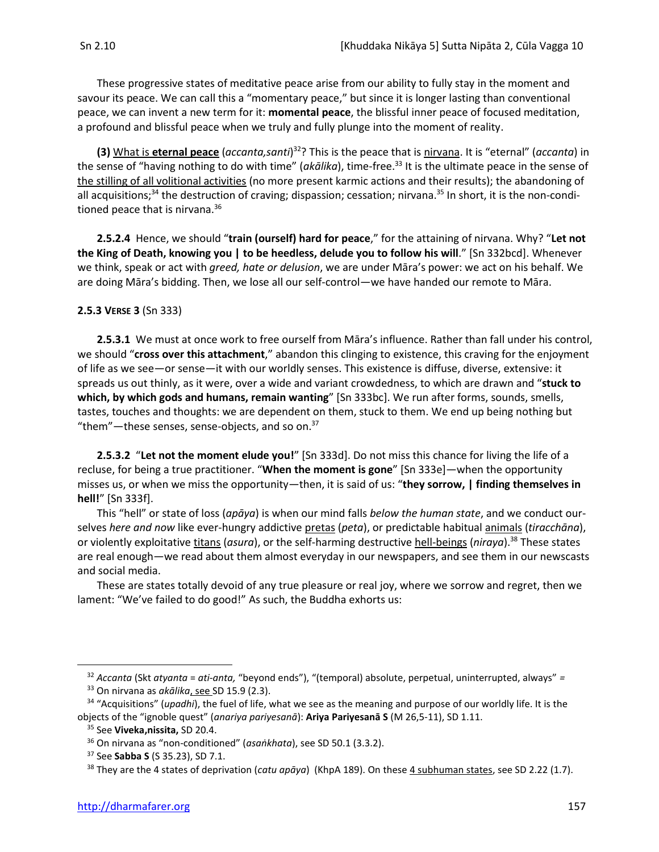These progressive states of meditative peace arise from our ability to fully stay in the moment and savour its peace. We can call this a "momentary peace," but since it is longer lasting than conventional peace, we can invent a new term for it: **momental peace**, the blissful inner peace of focused meditation, a profound and blissful peace when we truly and fully plunge into the moment of reality.

**(3)** What is eternal peace (*accanta,santi*)<sup>32</sup>? This is the peace that is nirvana. It is "eternal" (*accanta*) in the sense of "having nothing to do with time" (*akālika*), time-free. <sup>33</sup> It is the ultimate peace in the sense of the stilling of all volitional activities (no more present karmic actions and their results); the abandoning of all acquisitions;<sup>34</sup> the destruction of craving; dispassion; cessation; nirvana.<sup>35</sup> In short, it is the non-conditioned peace that is nirvana.<sup>36</sup>

**2.5.2.4** Hence, we should "**train (ourself) hard for peace**," for the attaining of nirvana. Why? "**Let not the King of Death, knowing you | to be heedless, delude you to follow his will**." [Sn 332bcd]. Whenever we think, speak or act with *greed, hate or delusion*, we are under Māra's power: we act on his behalf. We are doing Māra's bidding. Then, we lose all our self-control—we have handed our remote to Māra.

#### **2.5.3 VERSE 3** (Sn 333)

**2.5.3.1** We must at once work to free ourself from Māra's influence. Rather than fall under his control, we should "**cross over this attachment**," abandon this clinging to existence, this craving for the enjoyment of life as we see—or sense—it with our worldly senses. This existence is diffuse, diverse, extensive: it spreads us out thinly, as it were, over a wide and variant crowdedness, to which are drawn and "**stuck to which, by which gods and humans, remain wanting**" [Sn 333bc]. We run after forms, sounds, smells, tastes, touches and thoughts: we are dependent on them, stuck to them. We end up being nothing but "them"—these senses, sense-objects, and so on. $37$ 

**2.5.3.2** "**Let not the moment elude you!**" [Sn 333d]. Do not miss this chance for living the life of a recluse, for being a true practitioner. "**When the moment is gone**" [Sn 333e]—when the opportunity misses us, or when we miss the opportunity—then, it is said of us: "**they sorrow, | finding themselves in hell!**" [Sn 333f].

This "hell" or state of loss (*apāya*) is when our mind falls *below the human state*, and we conduct ourselves *here and now* like ever-hungry addictive pretas (*peta*), or predictable habitual animals (*tiracchāna*), or violently exploitative titans (asura), or the self-harming destructive hell-beings (niraya).<sup>38</sup> These states are real enough—we read about them almost everyday in our newspapers, and see them in our newscasts and social media.

These are states totally devoid of any true pleasure or real joy, where we sorrow and regret, then we lament: "We've failed to do good!" As such, the Buddha exhorts us:

<sup>32</sup> *Accanta* (Skt *atyanta* = *ati-anta,* "beyond ends"), "(temporal) absolute, perpetual, uninterrupted, always" *=*  <sup>33</sup> On nirvana as *akālika*, see SD 15.9 (2.3).

<sup>34</sup> "Acquisitions" (*upadhi*), the fuel of life, what we see as the meaning and purpose of our worldly life. It is the objects of the "ignoble quest" (*anariya pariyesanā*): **Ariya Pariyesanā S** (M 26,5-11), SD 1.11.

<sup>35</sup> See **Viveka,nissita,** SD 20.4.

<sup>36</sup> On nirvana as "non-conditioned" (*asaṅkhata*), see SD 50.1 (3.3.2).

<sup>37</sup> See **Sabba S** (S 35.23), SD 7.1.

<sup>38</sup> They are the 4 states of deprivation (*catu apāya*) (KhpA 189). On these 4 subhuman states, see SD 2.22 (1.7).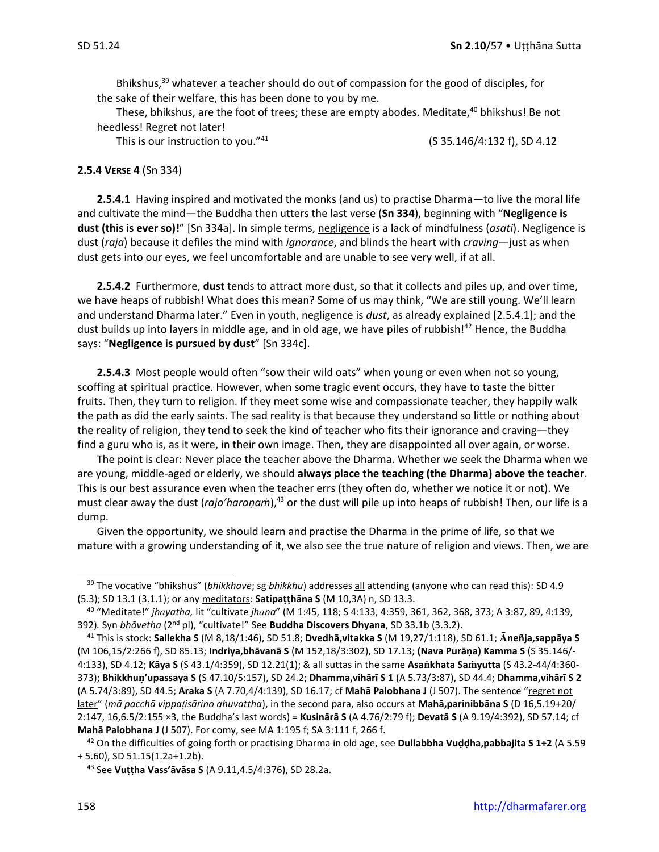Bhikshus, $39$  whatever a teacher should do out of compassion for the good of disciples, for the sake of their welfare, this has been done to you by me.

These, bhikshus, are the foot of trees; these are empty abodes. Meditate,<sup>40</sup> bhikshus! Be not heedless! Regret not later!

This is our instruction to you."<sup>41</sup>

(S 35.146/4:132 f), SD 4.12

#### **2.5.4 VERSE 4** (Sn 334)

**2.5.4.1** Having inspired and motivated the monks (and us) to practise Dharma—to live the moral life and cultivate the mind—the Buddha then utters the last verse (**Sn 334**), beginning with "**Negligence is dust (this is ever so)!**" [Sn 334a]. In simple terms, negligence is a lack of mindfulness (*asati*). Negligence is dust (*raja*) because it defiles the mind with *ignorance*, and blinds the heart with *craving*—just as when dust gets into our eyes, we feel uncomfortable and are unable to see very well, if at all.

**2.5.4.2** Furthermore, **dust** tends to attract more dust, so that it collects and piles up, and over time, we have heaps of rubbish! What does this mean? Some of us may think, "We are still young. We'll learn and understand Dharma later." Even in youth, negligence is *dust*, as already explained [2.5.4.1]; and the dust builds up into layers in middle age, and in old age, we have piles of rubbish!<sup>42</sup> Hence, the Buddha says: "**Negligence is pursued by dust**" [Sn 334c].

**2.5.4.3** Most people would often "sow their wild oats" when young or even when not so young, scoffing at spiritual practice. However, when some tragic event occurs, they have to taste the bitter fruits. Then, they turn to religion. If they meet some wise and compassionate teacher, they happily walk the path as did the early saints. The sad reality is that because they understand so little or nothing about the reality of religion, they tend to seek the kind of teacher who fits their ignorance and craving—they find a guru who is, as it were, in their own image. Then, they are disappointed all over again, or worse.

The point is clear: Never place the teacher above the Dharma. Whether we seek the Dharma when we are young, middle-aged or elderly, we should **always place the teaching (the Dharma) above the teacher**. This is our best assurance even when the teacher errs (they often do, whether we notice it or not). We must clear away the dust (*rajo'haraṇaṁ*),<sup>43</sup> or the dust will pile up into heaps of rubbish! Then, our life is a dump.

Given the opportunity, we should learn and practise the Dharma in the prime of life, so that we mature with a growing understanding of it, we also see the true nature of religion and views. Then, we are

<sup>39</sup> The vocative "bhikshus" (*bhikkhave*; sg *bhikkhu*) addresses all attending (anyone who can read this): SD 4.9 (5.3); SD 13.1 (3.1.1); or any meditators: **Satipaṭṭhāna S** (M 10,3A) n, SD 13.3.

<sup>40</sup> "Meditate!" *jhyatha,* lit "cultivate *jhna*" (M 1:45, 118; S 4:133, 4:359, 361, 362, 368, 373; A 3:87, 89, 4:139, 392)*.* Syn *bhāvetha* (2nd pl), "cultivate!" See **Buddha Discovers Dhyana**, SD 33.1b (3.3.2).

<sup>41</sup> This is stock: **Sallekha S** (M 8,18/1:46), SD 51.8; **Dvedhā,vitakka S** (M 19,27/1:118), SD 61.1; **neñja,sappāya S** (M 106,15/2:266 f), SD 85.13; **Indriya,bhāvanā S** (M 152,18/3:302), SD 17.13; **(Nava Purāṇa) Kamma S** (S 35.146/- 4:133), SD 4.12; **Kāya S** (S 43.1/4:359), SD 12.21(1); & all suttas in the same **Asakhata Sayutta** (S 43.2-44/4:360- 373); **Bhikkhu'upassaya S** (S 47.10/5:157), SD 24.2; **Dhamma,vihārī S 1** (A 5.73/3:87), SD 44.4; **Dhamma,vihārī S 2** (A 5.74/3:89), SD 44.5; **Araka S** (A 7.70,4/4:139), SD 16.17; cf **Mahā Palobhana J** (J 507). The sentence "regret not later" (*mā pacchā vippaisārino ahuvattha*), in the second para, also occurs at **Mahā,parinibbāna S** (D 16,5.19+20/ 2:147, 16,6.5/2:155 ×3, the Buddha's last words) = **Kusinārā S** (A 4.76/2:79 f); **Devatā S** (A 9.19/4:392), SD 57.14; cf **Mahā Palobhana J** (J 507). For comy, see MA 1:195 f; SA 3:111 f, 266 f.

<sup>42</sup> On the difficulties of going forth or practising Dharma in old age, see **Dullabbha Vuḍḍha,pabbajita S 1+2** (A 5.59 + 5.60), SD 51.15(1.2a+1.2b).

<sup>43</sup> See **Vuṭṭha Vass'āvāsa S** (A 9.11,4.5/4:376), SD 28.2a.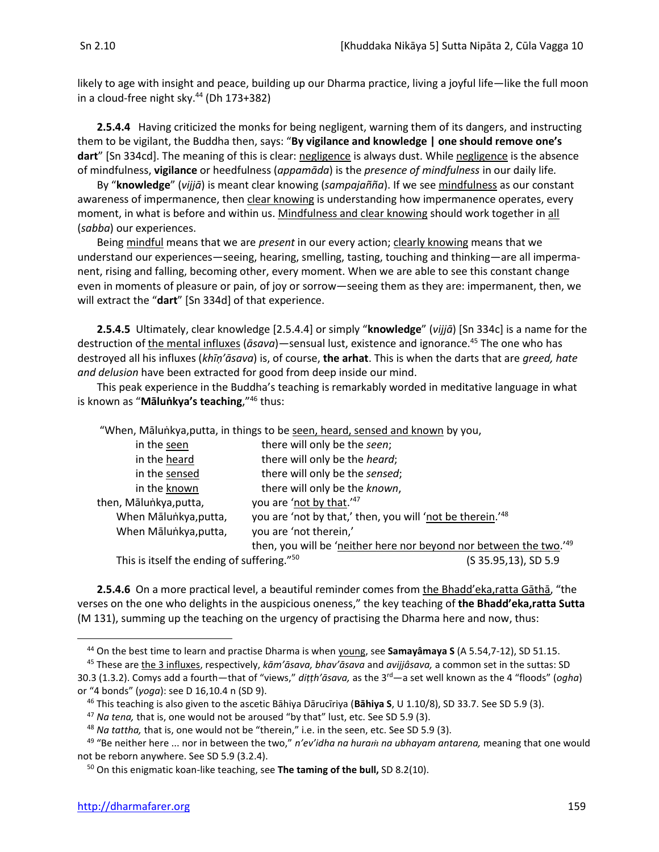likely to age with insight and peace, building up our Dharma practice, living a joyful life—like the full moon in a cloud-free night sky.<sup>44</sup> (Dh 173+382)

**2.5.4.4** Having criticized the monks for being negligent, warning them of its dangers, and instructing them to be vigilant, the Buddha then, says: "**By vigilance and knowledge | one should remove one's dart**" [Sn 334cd]. The meaning of this is clear: negligence is always dust. While negligence is the absence of mindfulness, **vigilance** or heedfulness (*appamāda*) is the *presence of mindfulness* in our daily life*.*

By "**knowledge**" (*vijjā*) is meant clear knowing (*sampajañña*). If we see mindfulness as our constant awareness of impermanence, then clear knowing is understanding how impermanence operates, every moment, in what is before and within us. Mindfulness and clear knowing should work together in all (*sabba*) our experiences.

Being mindful means that we are *present* in our every action; clearly knowing means that we understand our experiences—seeing, hearing, smelling, tasting, touching and thinking—are all impermanent, rising and falling, becoming other, every moment. When we are able to see this constant change even in moments of pleasure or pain, of joy or sorrow—seeing them as they are: impermanent, then, we will extract the "**dart**" [Sn 334d] of that experience.

**2.5.4.5** Ultimately, clear knowledge [2.5.4.4] or simply "**knowledge**" (*vijjā*) [Sn 334c] is a name for the destruction of the mental influxes (*āsava*)—sensual lust, existence and ignorance.<sup>45</sup> The one who has destroyed all his influxes (*khīṇ'āsava*) is, of course, **the arhat**. This is when the darts that are *greed, hate and delusion* have been extracted for good from deep inside our mind.

This peak experience in the Buddha's teaching is remarkably worded in meditative language in what is known as "**Māluṅkya's teaching**,"<sup>46</sup> thus:

| "When, Mālunkya, putta, in things to be seen, heard, sensed and known by you, |                                                                    |                      |  |  |
|-------------------------------------------------------------------------------|--------------------------------------------------------------------|----------------------|--|--|
| in the seen                                                                   | there will only be the seen;                                       |                      |  |  |
| in the heard                                                                  | there will only be the heard;                                      |                      |  |  |
| in the sensed                                                                 | there will only be the sensed;                                     |                      |  |  |
| in the known                                                                  | there will only be the known,                                      |                      |  |  |
| then, Mālunkya, putta,                                                        | you are 'not by that.'47                                           |                      |  |  |
| When Māluṅkya, putta,                                                         | you are 'not by that,' then, you will 'not be therein.'48          |                      |  |  |
| When Māluṅkya, putta,                                                         | you are 'not therein,'                                             |                      |  |  |
|                                                                               | then, you will be 'neither here nor beyond nor between the two.'49 |                      |  |  |
| This is itself the ending of suffering." <sup>50</sup>                        |                                                                    | (S 35.95,13), SD 5.9 |  |  |

**2.5.4.6** On a more practical level, a beautiful reminder comes from the Bhadd'eka,ratta Gāthā, "the verses on the one who delights in the auspicious oneness," the key teaching of **the Bhadd'eka,ratta Sutta**  (M 131), summing up the teaching on the urgency of practising the Dharma here and now, thus:

<sup>44</sup> On the best time to learn and practise Dharma is when young, see **Samayâmaya S** (A 5.54,7-12), SD 51.15.

<sup>45</sup> These are the 3 influxes, respectively, *kām'āsava, bhav'āsava* and *avijjâsava,* a common set in the suttas: SD 30.3 (1.3.2). Comys add a fourth—that of "views," *diṭṭh'āsava,* as the 3rd—a set well known as the 4 "floods" (*ogha*) or "4 bonds" (*yoga*): see D 16,10.4 n (SD 9).

<sup>46</sup> This teaching is also given to the ascetic Bāhiya Dārucīriya (**Bāhiya S**, U 1.10/8), SD 33.7. See SD 5.9 (3).

<sup>47</sup> *Na tena,* that is, one would not be aroused "by that" lust, etc. See SD 5.9 (3).

<sup>48</sup> *Na tattha,* that is, one would not be "therein," i.e. in the seen, etc. See SD 5.9 (3).

<sup>&</sup>lt;sup>49</sup> "Be neither here ... nor in between the two," *n'ev'idha na huram na ubhayam antarena*, meaning that one would not be reborn anywhere. See SD 5.9 (3.2.4).

<sup>50</sup> On this enigmatic koan-like teaching, see **The taming of the bull,** SD 8.2(10).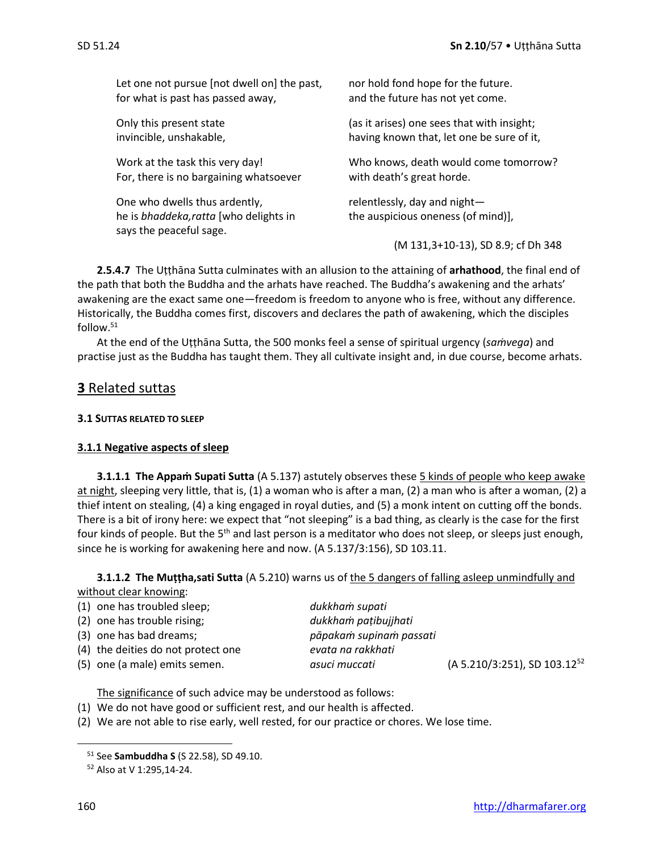| Let one not pursue [not dwell on] the past,                                                        | nor hold fond hope for the future.                                    |
|----------------------------------------------------------------------------------------------------|-----------------------------------------------------------------------|
| for what is past has passed away,                                                                  | and the future has not yet come.                                      |
| Only this present state                                                                            | (as it arises) one sees that with insight;                            |
| invincible, unshakable,                                                                            | having known that, let one be sure of it,                             |
| Work at the task this very day!                                                                    | Who knows, death would come tomorrow?                                 |
| For, there is no bargaining whatsoever                                                             | with death's great horde.                                             |
| One who dwells thus ardently,<br>he is bhaddeka, ratta [who delights in<br>says the peaceful sage. | relentlessly, day and night $-$<br>the auspicious oneness (of mind)], |
|                                                                                                    | (M 131, 3+10-13), SD 8.9; cf Dh 348                                   |

**2.5.4.7** The Uṭṭhāna Sutta culminates with an allusion to the attaining of **arhathood**, the final end of the path that both the Buddha and the arhats have reached. The Buddha's awakening and the arhats' awakening are the exact same one—freedom is freedom to anyone who is free, without any difference. Historically, the Buddha comes first, discovers and declares the path of awakening, which the disciples follow.<sup>51</sup>

At the end of the Uṭṭhāna Sutta, the 500 monks feel a sense of spiritual urgency (*saṁvega*) and practise just as the Buddha has taught them. They all cultivate insight and, in due course, become arhats.

### **3** Related suttas

#### **3.1 SUTTAS RELATED TO SLEEP**

#### **3.1.1 Negative aspects of sleep**

**3.1.1.1 The Appam Supati Sutta** (A 5.137) astutely observes these 5 kinds of people who keep awake at night, sleeping very little, that is, (1) a woman who is after a man, (2) a man who is after a woman, (2) a thief intent on stealing, (4) a king engaged in royal duties, and (5) a monk intent on cutting off the bonds. There is a bit of irony here: we expect that "not sleeping" is a bad thing, as clearly is the case for the first four kinds of people. But the 5<sup>th</sup> and last person is a meditator who does not sleep, or sleeps just enough, since he is working for awakening here and now. (A 5.137/3:156), SD 103.11.

**3.1.1.2 The Muṭṭha,sati Sutta** (A 5.210) warns us of the 5 dangers of falling asleep unmindfully and without clear knowing:

| (1) one has troubled sleep;        | dukkham supati          |                                             |
|------------------------------------|-------------------------|---------------------------------------------|
| (2) one has trouble rising;        | dukkham patibujihati    |                                             |
| (3) one has bad dreams;            | pāpakam supinam passati |                                             |
| (4) the deities do not protect one | evata na rakkhati       |                                             |
| (5) one (a male) emits semen.      | asuci muccati           | $(A 5.210/3:251)$ , SD 103.12 <sup>52</sup> |

The significance of such advice may be understood as follows:

- (1) We do not have good or sufficient rest, and our health is affected.
- (2) We are not able to rise early, well rested, for our practice or chores. We lose time.

<sup>51</sup> See **Sambuddha S** (S 22.58), SD 49.10.

<sup>52</sup> Also at V 1:295,14-24.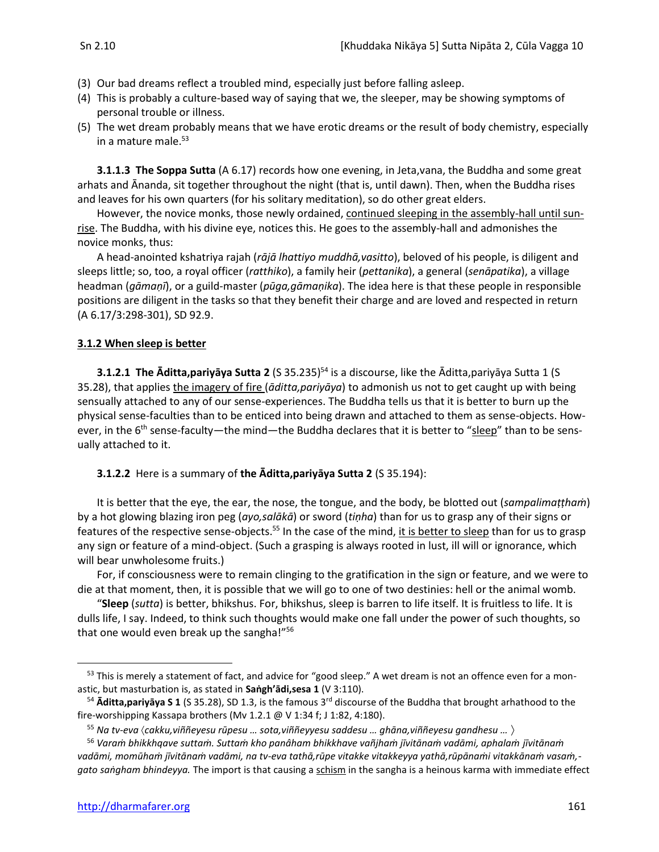- (3) Our bad dreams reflect a troubled mind, especially just before falling asleep.
- (4) This is probably a culture-based way of saying that we, the sleeper, may be showing symptoms of personal trouble or illness.
- (5) The wet dream probably means that we have erotic dreams or the result of body chemistry, especially in a mature male. 53

**3.1.1.3 The Soppa Sutta** (A 6.17) records how one evening, in Jeta,vana, the Buddha and some great arhats and Ānanda, sit together throughout the night (that is, until dawn). Then, when the Buddha rises and leaves for his own quarters (for his solitary meditation), so do other great elders.

However, the novice monks, those newly ordained, continued sleeping in the assembly-hall until sunrise. The Buddha, with his divine eye, notices this. He goes to the assembly-hall and admonishes the novice monks, thus:

A head-anointed kshatriya rajah (*rājā lhattiyo muddhā,vasitto*), beloved of his people, is diligent and sleeps little; so, too, a royal officer (*ratthiko*), a family heir (*pettanika*), a general (*senāpatika*), a village headman (*gāmaṇī*), or a guild-master (*pūga,gāmaṇika*). The idea here is that these people in responsible positions are diligent in the tasks so that they benefit their charge and are loved and respected in return (A 6.17/3:298-301), SD 92.9.

#### **3.1.2 When sleep is better**

**3.1.2.1 The Āditta,pariyāya Sutta 2** (S 35.235) <sup>54</sup> is a discourse, like the Āditta,pariyāya Sutta 1 (S 35.28), that applies the imagery of fire (*āditta,pariyāya*) to admonish us not to get caught up with being sensually attached to any of our sense-experiences. The Buddha tells us that it is better to burn up the physical sense-faculties than to be enticed into being drawn and attached to them as sense-objects. However, in the 6<sup>th</sup> sense-faculty—the mind—the Buddha declares that it is better to "sleep" than to be sensually attached to it.

**3.1.2.2** Here is a summary of **the Āditta,pariyāya Sutta 2** (S 35.194):

It is better that the eye, the ear, the nose, the tongue, and the body, be blotted out (*sampalimaṭṭhaṁ*) by a hot glowing blazing iron peg (*ayo,salākā*) or sword (*tiṇha*) than for us to grasp any of their signs or features of the respective sense-objects.<sup>55</sup> In the case of the mind, <u>it is better to sleep</u> than for us to grasp any sign or feature of a mind-object. (Such a grasping is always rooted in lust, ill will or ignorance, which will bear unwholesome fruits.)

For, if consciousness were to remain clinging to the gratification in the sign or feature, and we were to die at that moment, then, it is possible that we will go to one of two destinies: hell or the animal womb.

"**Sleep** (*sutta*) is better, bhikshus. For, bhikshus, sleep is barren to life itself. It is fruitless to life. It is dulls life, I say. Indeed, to think such thoughts would make one fall under the power of such thoughts, so that one would even break up the sangha!"<sup>56</sup>

<sup>&</sup>lt;sup>53</sup> This is merely a statement of fact, and advice for "good sleep." A wet dream is not an offence even for a monastic, but masturbation is, as stated in **Saṅgh'ādi,sesa 1** (V 3:110).

<sup>54</sup> **Āditta,pariyāya S 1** (S 35.28), SD 1.3, is the famous 3rd discourse of the Buddha that brought arhathood to the fire-worshipping Kassapa brothers (Mv 1.2.1 @ V 1:34 f; J 1:82, 4:180).

<sup>55</sup> *Na tv-eva cakku,viññeyesu rūpesu … sota,viññeyyesu saddesu … ghāna,viññeyesu gandhesu …* 

<sup>56</sup> *Varaṁ bhikkhqave suttaṁ. Suttaṁ kho panâham bhikkhave vañjhaṁ jīvitānaṁ vadāmi, aphalaṁ jīvitānaṁ vadāmi, momūhaṁ jīvitānaṁ vadāmi, na tv-eva tathā,rūpe vitakke vitakkeyya yathā,rūpānaṁi vitakkānaṁ vasaṁ, gato saṅgham bhindeyya.* The import is that causing a schism in the sangha is a heinous karma with immediate effect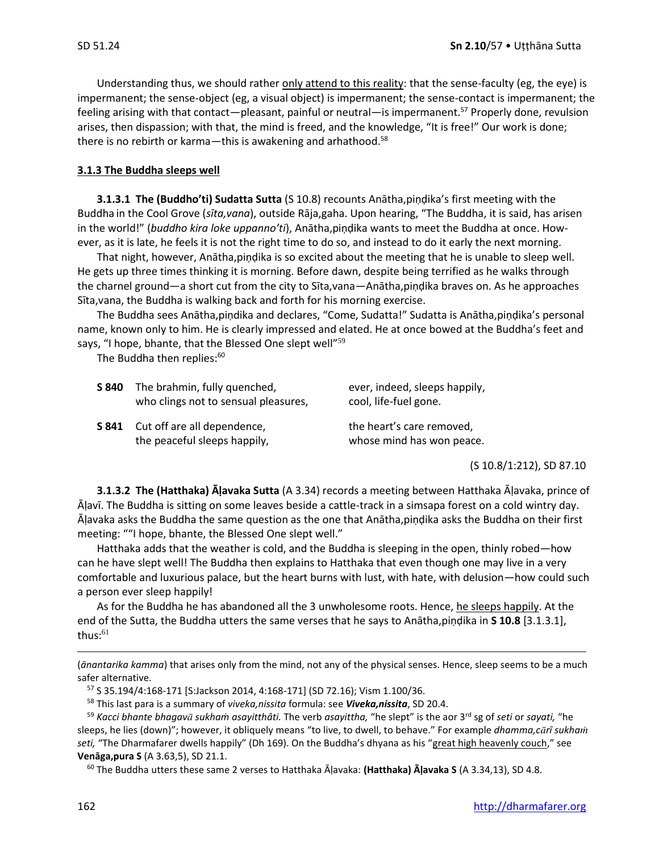Understanding thus, we should rather only attend to this reality: that the sense-faculty (eg, the eye) is impermanent; the sense-object (eg, a visual object) is impermanent; the sense-contact is impermanent; the feeling arising with that contact—pleasant, painful or neutral—is impermanent.<sup>57</sup> Properly done, revulsion arises, then dispassion; with that, the mind is freed, and the knowledge, "It is free!" Our work is done; there is no rebirth or karma—this is awakening and arhathood.<sup>58</sup>

#### **3.1.3 The Buddha sleeps well**

**3.1.3.1 The (Buddho'ti) Sudatta Sutta** (S 10.8) recounts Anātha,piṇḍika's first meeting with the Buddha in the Cool Grove (*sīta,vana*), outside Rāja,gaha. Upon hearing, "The Buddha, it is said, has arisen in the world!" (*buddho kira loke uppanno'ti*), Anātha,piṇḍika wants to meet the Buddha at once. However, as it is late, he feels it is not the right time to do so, and instead to do it early the next morning.

That night, however, Anātha,piṇḍika is so excited about the meeting that he is unable to sleep well. He gets up three times thinking it is morning. Before dawn, despite being terrified as he walks through the charnel ground—a short cut from the city to Sīta,vana—Anātha,piṇḍika braves on. As he approaches Sīta,vana, the Buddha is walking back and forth for his morning exercise.

The Buddha sees Anātha,piṇdika and declares, "Come, Sudatta!" Sudatta is Anātha,piṇḍika's personal name, known only to him. He is clearly impressed and elated. He at once bowed at the Buddha's feet and says, "I hope, bhante, that the Blessed One slept well"<sup>59</sup>

The Buddha then replies:<sup>60</sup>

| S 840 | The brahmin, fully quenched,<br>who clings not to sensual pleasures, | ever, indeed, sleeps happily,<br>cool, life-fuel gone. |
|-------|----------------------------------------------------------------------|--------------------------------------------------------|
| S 841 | Cut off are all dependence,<br>the peaceful sleeps happily,          | the heart's care removed,<br>whose mind has won peace. |

(S 10.8/1:212), SD 87.10

**3.1.3.2 The (Hatthaka) Āḷavaka Sutta** (A 3.34) records a meeting between Hatthaka Āḷavaka, prince of Āḷavī. The Buddha is sitting on some leaves beside a cattle-track in a simsapa forest on a cold wintry day. Āḷavaka asks the Buddha the same question as the one that Anātha,piṇḍika asks the Buddha on their first meeting: ""I hope, bhante, the Blessed One slept well."

Hatthaka adds that the weather is cold, and the Buddha is sleeping in the open, thinly robed—how can he have slept well! The Buddha then explains to Hatthaka that even though one may live in a very comfortable and luxurious palace, but the heart burns with lust, with hate, with delusion—how could such a person ever sleep happily!

As for the Buddha he has abandoned all the 3 unwholesome roots. Hence, he sleeps happily. At the end of the Sutta, the Buddha utters the same verses that he says to Anātha,piṇḍika in **S 10.8** [3.1.3.1], thus: $61$ 

(*ānantarika kamma*) that arises only from the mind, not any of the physical senses. Hence, sleep seems to be a much safer alternative.

<sup>60</sup> The Buddha utters these same 2 verses to Hatthaka Āḷavaka: **(Hatthaka) Āḷavaka S** (A 3.34,13), SD 4.8.

<sup>57</sup> S 35.194/4:168-171 [S:Jackson 2014, 4:168-171] (SD 72.16); Vism 1.100/36.

<sup>58</sup> This last para is a summary of *viveka,nissita* formula: see *Viveka,nissita*, SD 20.4.

<sup>59</sup> *Kacci bhante bhagav sukhaṁ asayitthâti.* The verb *asayittha,* "he slept" is the aor 3rd sg of *seti* or *sayati,* "he sleeps, he lies (down)"; however, it obliquely means "to live, to dwell, to behave." For example *dhamma,crī sukha seti,* "The Dharmafarer dwells happily" (Dh 169). On the Buddha's dhyana as his "great high heavenly couch," see **Venāga,pura S** (A 3.63,5), SD 21.1.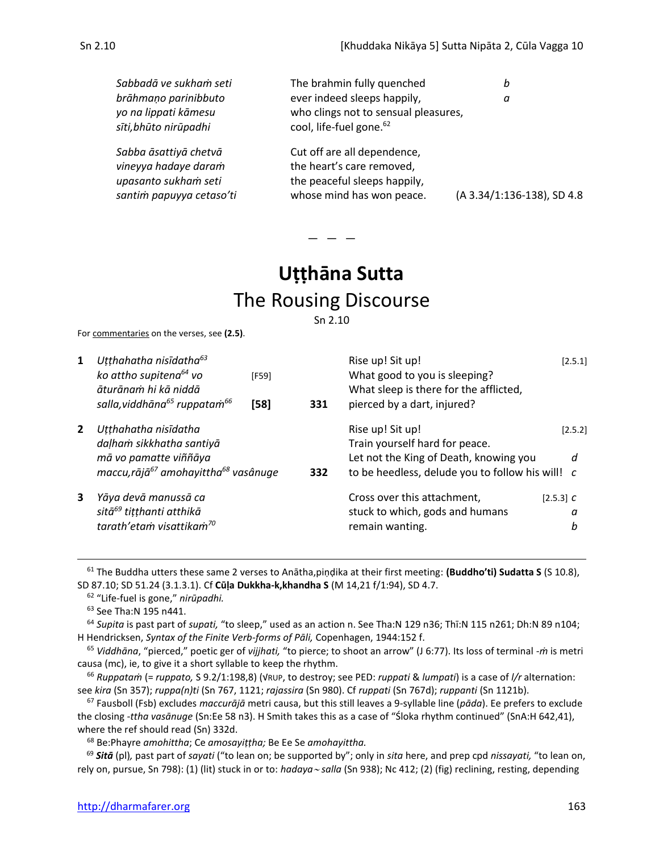| Sabbadā ve sukham seti<br>brāhmaņo parinibbuto<br>yo na lippati kāmesu<br>sīti, bhūto nirūpadhi   | The brahmin fully quenched<br>ever indeed sleeps happily,<br>who clings not to sensual pleasures,<br>cool, life-fuel gone. <sup>62</sup> | b<br>а                     |
|---------------------------------------------------------------------------------------------------|------------------------------------------------------------------------------------------------------------------------------------------|----------------------------|
| Sabba āsattiyā chetvā<br>vineyya hadaye daram<br>upasanto sukham seti<br>santim papuyya cetaso'ti | Cut off are all dependence,<br>the heart's care removed,<br>the peaceful sleeps happily,<br>whose mind has won peace.                    | (A 3.34/1:136-138), SD 4.8 |

 $-$ 

# **Uṭṭhāna Sutta** The Rousing Discourse

Sn 2.10

For commentaries on the verses, see **(2.5)**.

| 1              | Utthahatha nisīdatha <sup>63</sup><br>ko attho supitena <sup>64</sup> vo<br>āturānam hi kā niddā<br>salla, viddhāna <sup>65</sup> ruppatam <sup>66</sup> | [F59]<br>$[58]$ | 331 | Rise up! Sit up!<br>What good to you is sleeping?<br>What sleep is there for the afflicted,<br>pierced by a dart, injured?                       |             | [2.5.1]      |
|----------------|----------------------------------------------------------------------------------------------------------------------------------------------------------|-----------------|-----|--------------------------------------------------------------------------------------------------------------------------------------------------|-------------|--------------|
| $\overline{2}$ | Utthahatha nisīdatha<br>daļham sikkhatha santiyā<br>mā vo pamatte viññāya<br>maccu, rājā <sup>67</sup> amohayittha <sup>68</sup> vasânuge                |                 | 332 | Rise up! Sit up!<br>Train yourself hard for peace.<br>Let not the King of Death, knowing you<br>to be heedless, delude you to follow his will! c |             | [2.5.2]<br>d |
| 3              | Yāya devā manussā ca<br>sitā <sup>69</sup> titthanti atthikā<br>tarath'etam visattikam <sup>70</sup>                                                     |                 |     | Cross over this attachment,<br>stuck to which, gods and humans<br>remain wanting.                                                                | $[2.5.3]$ C | a<br>b       |

<sup>61</sup> The Buddha utters these same 2 verses to Anātha,piṇḍika at their first meeting: **(Buddho'ti) Sudatta S** (S 10.8), SD 87.10; SD 51.24 (3.1.3.1). Cf **Cūḷa Dukkha-k,khandha S** (M 14,21 f/1:94), SD 4.7.

62 "Life-fuel is gone," *nirūpadhi.*

<sup>63</sup> See Tha:N 195 n441.

<sup>64</sup> *Supita* is past part of *supati,* "to sleep," used as an action n. See Tha:N 129 n36; Thī:N 115 n261; Dh:N 89 n104; H Hendricksen, *Syntax of the Finite Verb-forms of Pāli,* Copenhagen, 1944:152 f.

<sup>65</sup> *Viddhāna*, "pierced," poetic ger of *vijjhati,* "to pierce; to shoot an arrow" (J 6:77). Its loss of terminal -*ṁ* is metri causa (mc), ie, to give it a short syllable to keep the rhythm.

<sup>66</sup> *Ruppataṁ* (= *ruppato,* S 9.2/1:198,8) (√RUP, to destroy; see PED: *ruppati* & *lumpati*) is a case of *l/r* alternation: see *kira* (Sn 357); *ruppa(n)ti* (Sn 767, 1121; *rajassira* (Sn 980). Cf *ruppati* (Sn 767d); *ruppanti* (Sn 1121b).

<sup>67</sup> Fausboll (Fsb) excludes *maccurājā* metri causa, but this still leaves a 9-syllable line (*pāda*). Ee prefers to exclude the closing *-ttha vasānuge* (Sn:Ee 58 n3). H Smith takes this as a case of "Śloka rhythm continued" (SnA:H 642,41), where the ref should read (Sn) 332d.

<sup>68</sup> Be:Phayre *amohittha*; Ce *amosayiṭṭha;* Be Ee Se *amohayittha.*

<sup>69</sup> *Sitā* (pl)*,* past part of *sayati* ("to lean on; be supported by"; only in *sita* here, and prep cpd *nissayati,* "to lean on, rely on, pursue, Sn 798): (1) (lit) stuck in or to: *hadaya salla* (Sn 938); Nc 412; (2) (fig) reclining, resting, depending